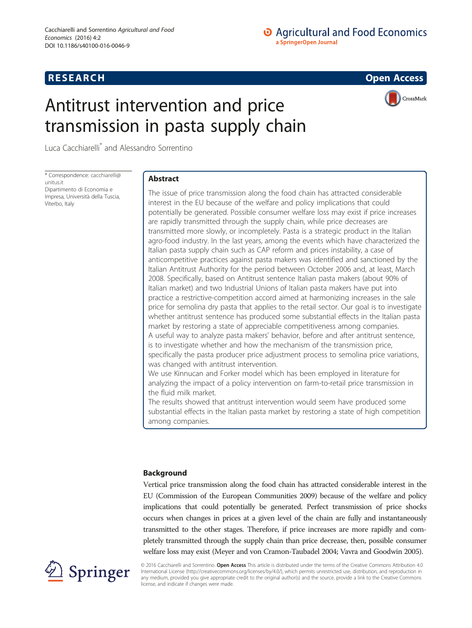# **RESEARCH CHE Open Access**

# **O** Agricultural and Food Economics a SpringerOpen Journal

# Antitrust intervention and price transmission in pasta supply chain



Luca Cacchiarelli\* and Alessandro Sorrentino

\* Correspondence: [cacchiarelli@](mailto:cacchiarelli@unitus.it) [unitus.it](mailto:cacchiarelli@unitus.it) Dipartimento di Economia e Impresa, Università della Tuscia, Viterbo, Italy

#### Abstract

The issue of price transmission along the food chain has attracted considerable interest in the EU because of the welfare and policy implications that could potentially be generated. Possible consumer welfare loss may exist if price increases are rapidly transmitted through the supply chain, while price decreases are transmitted more slowly, or incompletely. Pasta is a strategic product in the Italian agro-food industry. In the last years, among the events which have characterized the Italian pasta supply chain such as CAP reform and prices instability, a case of anticompetitive practices against pasta makers was identified and sanctioned by the Italian Antitrust Authority for the period between October 2006 and, at least, March 2008. Specifically, based on Antitrust sentence Italian pasta makers (about 90% of Italian market) and two Industrial Unions of Italian pasta makers have put into practice a restrictive-competition accord aimed at harmonizing increases in the sale price for semolina dry pasta that applies to the retail sector. Our goal is to investigate whether antitrust sentence has produced some substantial effects in the Italian pasta market by restoring a state of appreciable competitiveness among companies. A useful way to analyze pasta makers' behavior, before and after antitrust sentence, is to investigate whether and how the mechanism of the transmission price, specifically the pasta producer price adjustment process to semolina price variations, was changed with antitrust intervention.

We use Kinnucan and Forker model which has been employed in literature for analyzing the impact of a policy intervention on farm-to-retail price transmission in the fluid milk market.

The results showed that antitrust intervention would seem have produced some substantial effects in the Italian pasta market by restoring a state of high competition among companies.

### Background

Vertical price transmission along the food chain has attracted considerable interest in the EU (Commission of the European Communities [2009](#page-9-0)) because of the welfare and policy implications that could potentially be generated. Perfect transmission of price shocks occurs when changes in prices at a given level of the chain are fully and instantaneously transmitted to the other stages. Therefore, if price increases are more rapidly and completely transmitted through the supply chain than price decrease, then, possible consumer welfare loss may exist (Meyer and von Cramon-Taubadel [2004;](#page-9-0) Vavra and Goodwin [2005](#page-9-0)).



© 2016 Cacchiarelli and Sorrentino. Open Access This article is distributed under the terms of the Creative Commons Attribution 4.0 International License ([http://creativecommons.org/licenses/by/4.0/\)](http://creativecommons.org/licenses/by/4.0/), which permits unrestricted use, distribution, and reproduction in any medium, provided you give appropriate credit to the original author(s) and the source, provide a link to the Creative Commons license, and indicate if changes were made.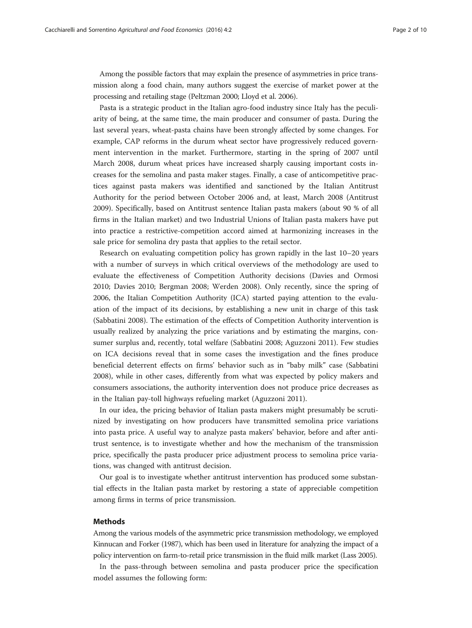Among the possible factors that may explain the presence of asymmetries in price transmission along a food chain, many authors suggest the exercise of market power at the processing and retailing stage (Peltzman [2000;](#page-9-0) Lloyd et al. [2006](#page-9-0)).

Pasta is a strategic product in the Italian agro-food industry since Italy has the peculiarity of being, at the same time, the main producer and consumer of pasta. During the last several years, wheat-pasta chains have been strongly affected by some changes. For example, CAP reforms in the durum wheat sector have progressively reduced government intervention in the market. Furthermore, starting in the spring of 2007 until March 2008, durum wheat prices have increased sharply causing important costs increases for the semolina and pasta maker stages. Finally, a case of anticompetitive practices against pasta makers was identified and sanctioned by the Italian Antitrust Authority for the period between October 2006 and, at least, March 2008 (Antitrust 2009). Specifically, based on Antitrust sentence Italian pasta makers (about 90 % of all firms in the Italian market) and two Industrial Unions of Italian pasta makers have put into practice a restrictive-competition accord aimed at harmonizing increases in the sale price for semolina dry pasta that applies to the retail sector.

Research on evaluating competition policy has grown rapidly in the last 10–20 years with a number of surveys in which critical overviews of the methodology are used to evaluate the effectiveness of Competition Authority decisions (Davies and Ormosi [2010](#page-9-0); Davies [2010](#page-9-0); Bergman [2008](#page-8-0); Werden [2008\)](#page-9-0). Only recently, since the spring of 2006, the Italian Competition Authority (ICA) started paying attention to the evaluation of the impact of its decisions, by establishing a new unit in charge of this task (Sabbatini [2008](#page-9-0)). The estimation of the effects of Competition Authority intervention is usually realized by analyzing the price variations and by estimating the margins, consumer surplus and, recently, total welfare (Sabbatini [2008;](#page-9-0) Aguzzoni [2011](#page-8-0)). Few studies on ICA decisions reveal that in some cases the investigation and the fines produce beneficial deterrent effects on firms' behavior such as in "baby milk" case (Sabbatini [2008](#page-9-0)), while in other cases, differently from what was expected by policy makers and consumers associations, the authority intervention does not produce price decreases as in the Italian pay-toll highways refueling market (Aguzzoni [2011](#page-8-0)).

In our idea, the pricing behavior of Italian pasta makers might presumably be scrutinized by investigating on how producers have transmitted semolina price variations into pasta price. A useful way to analyze pasta makers' behavior, before and after antitrust sentence, is to investigate whether and how the mechanism of the transmission price, specifically the pasta producer price adjustment process to semolina price variations, was changed with antitrust decision.

Our goal is to investigate whether antitrust intervention has produced some substantial effects in the Italian pasta market by restoring a state of appreciable competition among firms in terms of price transmission.

#### Methods

Among the various models of the asymmetric price transmission methodology, we employed Kinnucan and Forker ([1987\)](#page-9-0), which has been used in literature for analyzing the impact of a policy intervention on farm-to-retail price transmission in the fluid milk market (Lass [2005](#page-9-0)).

In the pass-through between semolina and pasta producer price the specification model assumes the following form: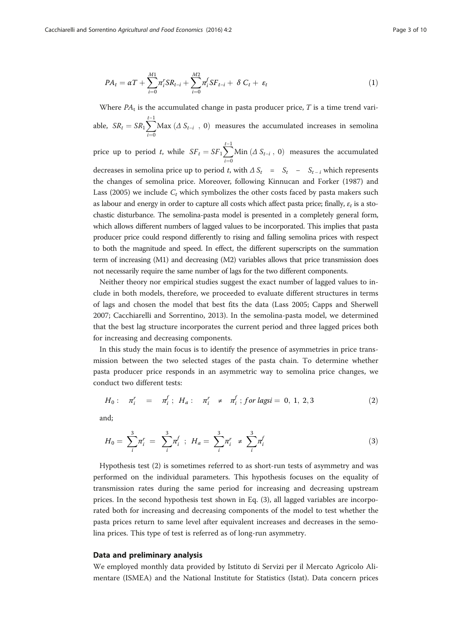$$
PA_{t} = \alpha T + \sum_{i=0}^{M1} \pi_{i}^{r} SR_{t-i} + \sum_{i=0}^{M2} \pi_{i}^{f} SF_{t-i} + \delta C_{t} + \varepsilon_{t}
$$
\n(1)

Where  $PA_t$  is the accumulated change in pasta producer price, T is a time trend variable,  $SR_t = SR_1$  $\sum_{ }^{t-1}$  $\dot{i}=0$ Max  $(\Delta S_{t-i}, 0)$  measures the accumulated increases in semolina

price up to period t, while  $SF_t = SF_1$  $\sum_{ }^{t-1}$  $\sum_{i=0}$ Min ( $\Delta S_{t-i}$ , 0) measures the accumulated decreases in semolina price up to period t, with  $\Delta S_t = S_t - S_{t-i}$  which represents the changes of semolina price. Moreover, following Kinnucan and Forker ([1987](#page-9-0)) and Lass ([2005](#page-9-0)) we include  $C_t$  which symbolizes the other costs faced by pasta makers such as labour and energy in order to capture all costs which affect pasta price; finally,  $\varepsilon_t$  is a stochastic disturbance. The semolina-pasta model is presented in a completely general form, which allows different numbers of lagged values to be incorporated. This implies that pasta producer price could respond differently to rising and falling semolina prices with respect to both the magnitude and speed. In effect, the different superscripts on the summation term of increasing (M1) and decreasing (M2) variables allows that price transmission does not necessarily require the same number of lags for the two different components.

Neither theory nor empirical studies suggest the exact number of lagged values to include in both models, therefore, we proceeded to evaluate different structures in terms of lags and chosen the model that best fits the data (Lass [2005;](#page-9-0) Capps and Sherwell [2007](#page-8-0); Cacchiarelli and Sorrentino, [2013](#page-8-0)). In the semolina-pasta model, we determined that the best lag structure incorporates the current period and three lagged prices both for increasing and decreasing components.

In this study the main focus is to identify the presence of asymmetries in price transmission between the two selected stages of the pasta chain. To determine whether pasta producer price responds in an asymmetric way to semolina price changes, we conduct two different tests:

$$
H_0: \t\pi_i^r = \pi_i^f; \tH_a: \t\pi_i^r \neq \pi_i^f; \tfor lags_i = 0, 1, 2, 3 \t\t(2)
$$

and;

$$
H_0 = \sum_{i}^{3} \pi_i^r = \sum_{i}^{3} \pi_i^f ; H_a = \sum_{i}^{3} \pi_i^r \neq \sum_{i}^{3} \pi_i^f
$$
 (3)

Hypothesis test (2) is sometimes referred to as short-run tests of asymmetry and was performed on the individual parameters. This hypothesis focuses on the equality of transmission rates during the same period for increasing and decreasing upstream prices. In the second hypothesis test shown in Eq. (3), all lagged variables are incorporated both for increasing and decreasing components of the model to test whether the pasta prices return to same level after equivalent increases and decreases in the semolina prices. This type of test is referred as of long-run asymmetry.

#### Data and preliminary analysis

We employed monthly data provided by Istituto di Servizi per il Mercato Agricolo Alimentare (ISMEA) and the National Institute for Statistics (Istat). Data concern prices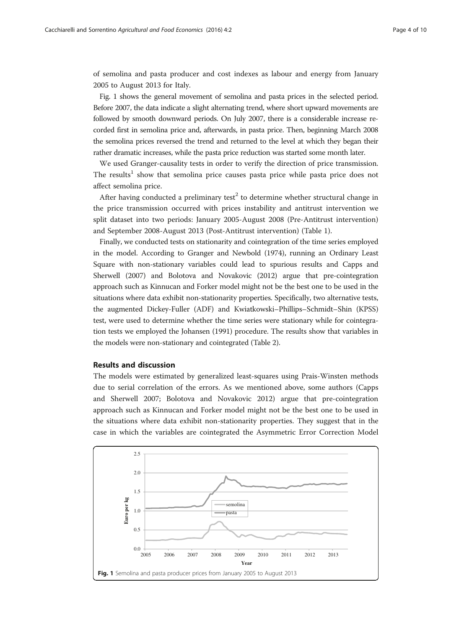of semolina and pasta producer and cost indexes as labour and energy from January 2005 to August 2013 for Italy.

Fig. 1 shows the general movement of semolina and pasta prices in the selected period. Before 2007, the data indicate a slight alternating trend, where short upward movements are followed by smooth downward periods. On July 2007, there is a considerable increase recorded first in semolina price and, afterwards, in pasta price. Then, beginning March 2008 the semolina prices reversed the trend and returned to the level at which they began their rather dramatic increases, while the pasta price reduction was started some month later.

We used Granger-causality tests in order to verify the direction of price transmission. The results<sup>1</sup> show that semolina price causes pasta price while pasta price does not affect semolina price.

After having conducted a preliminary test<sup>2</sup> to determine whether structural change in the price transmission occurred with prices instability and antitrust intervention we split dataset into two periods: January 2005-August 2008 (Pre-Antitrust intervention) and September 2008-August 2013 (Post-Antitrust intervention) (Table [1\)](#page-4-0).

Finally, we conducted tests on stationarity and cointegration of the time series employed in the model. According to Granger and Newbold ([1974](#page-9-0)), running an Ordinary Least Square with non-stationary variables could lead to spurious results and Capps and Sherwell ([2007\)](#page-8-0) and Bolotova and Novakovic ([2012\)](#page-8-0) argue that pre-cointegration approach such as Kinnucan and Forker model might not be the best one to be used in the situations where data exhibit non-stationarity properties. Specifically, two alternative tests, the augmented Dickey-Fuller (ADF) and Kwiatkowski–Phillips–Schmidt–Shin (KPSS) test, were used to determine whether the time series were stationary while for cointegration tests we employed the Johansen [\(1991](#page-9-0)) procedure. The results show that variables in the models were non-stationary and cointegrated (Table [2\)](#page-4-0).

#### Results and discussion

The models were estimated by generalized least-squares using Prais-Winsten methods due to serial correlation of the errors. As we mentioned above, some authors (Capps and Sherwell [2007;](#page-8-0) Bolotova and Novakovic [2012](#page-8-0)) argue that pre-cointegration approach such as Kinnucan and Forker model might not be the best one to be used in the situations where data exhibit non-stationarity properties. They suggest that in the case in which the variables are cointegrated the Asymmetric Error Correction Model

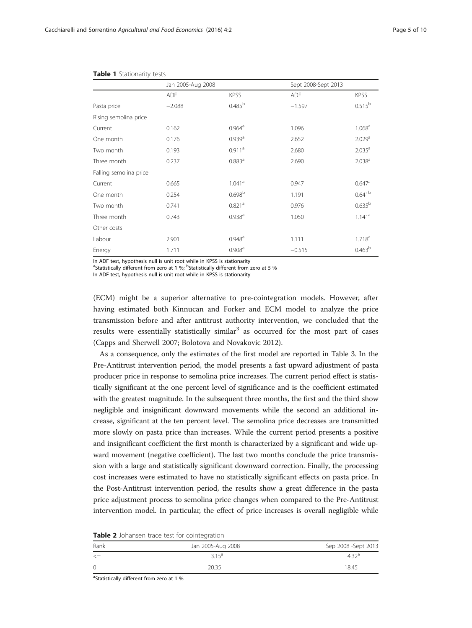|                        | Jan 2005-Aug 2008 |                      | Sept 2008-Sept 2013 |                      |
|------------------------|-------------------|----------------------|---------------------|----------------------|
|                        | <b>ADF</b>        | <b>KPSS</b>          | <b>ADF</b>          | <b>KPSS</b>          |
| Pasta price            | $-2.088$          | $0.485^{b}$          | $-1.597$            | $0.515^{b}$          |
| Rising semolina price  |                   |                      |                     |                      |
| Current                | 0.162             | $0.964$ <sup>a</sup> | 1.096               | 1.068 <sup>a</sup>   |
| One month              | 0.176             | $0.939$ <sup>a</sup> | 2.652               | 2.029 <sup>a</sup>   |
| Two month              | 0.193             | 0.911 <sup>a</sup>   | 2.680               | 2.035 <sup>a</sup>   |
| Three month            | 0.237             | 0.883 <sup>a</sup>   | 2.690               | 2.038 <sup>a</sup>   |
| Falling semolina price |                   |                      |                     |                      |
| Current                | 0.665             | $1.041$ <sup>a</sup> | 0.947               | $0.647$ <sup>a</sup> |
| One month              | 0.254             | $0.698^{b}$          | 1.191               | $0.641^{b}$          |
| Two month              | 0.741             | 0.821 <sup>a</sup>   | 0.976               | $0.635^{b}$          |
| Three month            | 0.743             | $0.938$ <sup>a</sup> | 1.050               | $1.141$ <sup>a</sup> |
| Other costs            |                   |                      |                     |                      |
| Labour                 | 2.901             | $0.948$ <sup>a</sup> | 1.111               | 1.718 <sup>a</sup>   |
| Energy                 | 1.711             | 0.908 <sup>a</sup>   | $-0.515$            | 0.463 <sup>b</sup>   |

#### <span id="page-4-0"></span>Table 1 Stationarity tests

In ADF test, hypothesis null is unit root while in KPSS is stationarity

<sup>a</sup>Statistically different from zero at 1 %; <sup>b</sup>Statistically different from zero at 5 %

In ADF test, hypothesis null is unit root while in KPSS is stationarity

(ECM) might be a superior alternative to pre-cointegration models. However, after having estimated both Kinnucan and Forker and ECM model to analyze the price transmission before and after antitrust authority intervention, we concluded that the results were essentially statistically similar<sup>3</sup> as occurred for the most part of cases (Capps and Sherwell [2007](#page-8-0); Bolotova and Novakovic [2012\)](#page-8-0).

As a consequence, only the estimates of the first model are reported in Table [3.](#page-5-0) In the Pre-Antitrust intervention period, the model presents a fast upward adjustment of pasta producer price in response to semolina price increases. The current period effect is statistically significant at the one percent level of significance and is the coefficient estimated with the greatest magnitude. In the subsequent three months, the first and the third show negligible and insignificant downward movements while the second an additional increase, significant at the ten percent level. The semolina price decreases are transmitted more slowly on pasta price than increases. While the current period presents a positive and insignificant coefficient the first month is characterized by a significant and wide upward movement (negative coefficient). The last two months conclude the price transmission with a large and statistically significant downward correction. Finally, the processing cost increases were estimated to have no statistically significant effects on pasta price. In the Post-Antitrust intervention period, the results show a great difference in the pasta price adjustment process to semolina price changes when compared to the Pre-Antitrust intervention model. In particular, the effect of price increases is overall negligible while

|  |  |  |  |  |  | <b>Table 2</b> Johansen trace test for cointegration |
|--|--|--|--|--|--|------------------------------------------------------|
|--|--|--|--|--|--|------------------------------------------------------|

| Rank         | Jan 2005-Aug 2008 | Sep 2008 - Sept 2013 |
|--------------|-------------------|----------------------|
| $\leq$       | $315^a$           | $432^{\circ}$        |
| $\mathbf{0}$ | 20.35             | 18.45                |

<sup>a</sup>Statistically different from zero at 1 %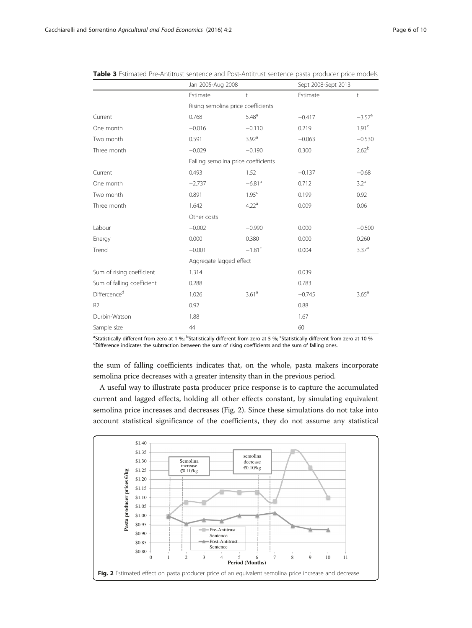|                            | Jan 2005-Aug 2008       |                                     | Sept 2008-Sept 2013 |                      |  |  |
|----------------------------|-------------------------|-------------------------------------|---------------------|----------------------|--|--|
|                            | Estimate                | t                                   | Estimate            | $\mathsf{t}$         |  |  |
|                            |                         | Rising semolina price coefficients  |                     |                      |  |  |
| Current                    | 0.768                   | 5.48 <sup>a</sup>                   | $-0.417$            | $-3.57$ <sup>a</sup> |  |  |
| One month                  | $-0.016$                | $-0.110$                            | 0.219               | 1.91 <sup>c</sup>    |  |  |
| Two month                  | 0.591                   | 3.92 <sup>a</sup>                   | $-0.063$            | $-0.530$             |  |  |
| Three month                | $-0.029$                | $-0.190$                            | 0.300               | $2.62^{b}$           |  |  |
|                            |                         | Falling semolina price coefficients |                     |                      |  |  |
| Current                    | 0.493                   | 1.52                                | $-0.137$            | $-0.68$              |  |  |
| One month                  | $-2.737$                | $-6.81$ <sup>a</sup>                | 0.712               | 3.2 <sup>a</sup>     |  |  |
| Two month                  | 0.891                   | 1.95 <sup>c</sup>                   | 0.199               | 0.92                 |  |  |
| Three month                | 1.642                   | 4.22 <sup>a</sup>                   | 0.009               | 0.06                 |  |  |
|                            | Other costs             |                                     |                     |                      |  |  |
| Labour                     | $-0.002$                | $-0.990$                            | 0.000               | $-0.500$             |  |  |
| Energy                     | 0.000                   | 0.380                               | 0.000               | 0.260                |  |  |
| Trend                      | $-0.001$                | $-1.81c$                            | 0.004               | 3.37 <sup>a</sup>    |  |  |
|                            | Aggregate lagged effect |                                     |                     |                      |  |  |
| Sum of rising coefficient  | 1.314                   |                                     | 0.039               |                      |  |  |
| Sum of falling coefficient | 0.288                   |                                     | 0.783               |                      |  |  |
| Differcence <sup>d</sup>   | 1.026                   | 3.61 <sup>a</sup>                   | $-0.745$            | $3.65^{\circ}$       |  |  |
| R <sub>2</sub>             | 0.92                    |                                     | 0.88                |                      |  |  |
| Durbin-Watson              | 1.88                    |                                     | 1.67                |                      |  |  |
| Sample size                | 44                      |                                     | 60                  |                      |  |  |

<span id="page-5-0"></span>

| Table 3 Estimated Pre-Antitrust sentence and Post-Antitrust sentence pasta producer price models |  |
|--------------------------------------------------------------------------------------------------|--|
|--------------------------------------------------------------------------------------------------|--|

<sup>a</sup>Statistically different from zero at 1 %; <sup>b</sup>Statistically different from zero at 5 %; <sup>c</sup>Statistically different from zero at 10 %<br><sup>d</sup>Difference indicates the subtraction between the sum of rising coefficients and the  $<sup>d</sup>$ Difference indicates the subtraction between the sum of rising coefficients and the sum of falling ones.</sup>

the sum of falling coefficients indicates that, on the whole, pasta makers incorporate semolina price decreases with a greater intensity than in the previous period.

A useful way to illustrate pasta producer price response is to capture the accumulated current and lagged effects, holding all other effects constant, by simulating equivalent semolina price increases and decreases (Fig. 2). Since these simulations do not take into account statistical significance of the coefficients, they do not assume any statistical

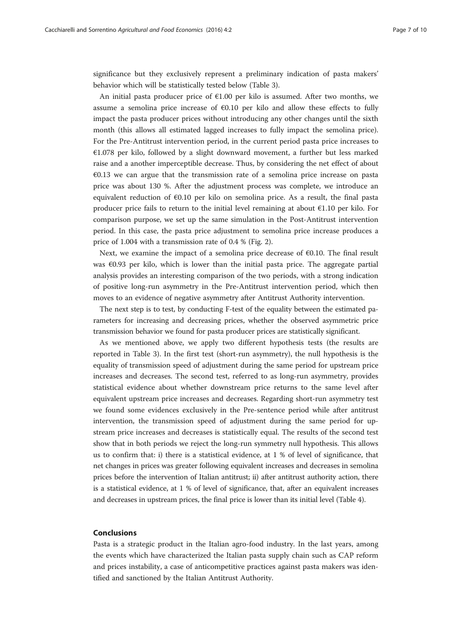significance but they exclusively represent a preliminary indication of pasta makers' behavior which will be statistically tested below (Table [3\)](#page-5-0).

An initial pasta producer price of  $\epsilon$ 1.00 per kilo is assumed. After two months, we assume a semolina price increase of  $\epsilon$ 0.10 per kilo and allow these effects to fully impact the pasta producer prices without introducing any other changes until the sixth month (this allows all estimated lagged increases to fully impact the semolina price). For the Pre-Antitrust intervention period, in the current period pasta price increases to  $€1.078$  per kilo, followed by a slight downward movement, a further but less marked raise and a another imperceptible decrease. Thus, by considering the net effect of about  $€0.13$  we can argue that the transmission rate of a semolina price increase on pasta price was about 130 %. After the adjustment process was complete, we introduce an equivalent reduction of  $\epsilon$ 0.10 per kilo on semolina price. As a result, the final pasta producer price fails to return to the initial level remaining at about €1.10 per kilo. For comparison purpose, we set up the same simulation in the Post-Antitrust intervention period. In this case, the pasta price adjustment to semolina price increase produces a price of 1.004 with a transmission rate of 0.4 % (Fig. 2).

Next, we examine the impact of a semolina price decrease of  $\epsilon$ 0.10. The final result was €0.93 per kilo, which is lower than the initial pasta price. The aggregate partial analysis provides an interesting comparison of the two periods, with a strong indication of positive long-run asymmetry in the Pre-Antitrust intervention period, which then moves to an evidence of negative asymmetry after Antitrust Authority intervention.

The next step is to test, by conducting F-test of the equality between the estimated parameters for increasing and decreasing prices, whether the observed asymmetric price transmission behavior we found for pasta producer prices are statistically significant.

As we mentioned above, we apply two different hypothesis tests (the results are reported in Table [3](#page-5-0)). In the first test (short-run asymmetry), the null hypothesis is the equality of transmission speed of adjustment during the same period for upstream price increases and decreases. The second test, referred to as long-run asymmetry, provides statistical evidence about whether downstream price returns to the same level after equivalent upstream price increases and decreases. Regarding short-run asymmetry test we found some evidences exclusively in the Pre-sentence period while after antitrust intervention, the transmission speed of adjustment during the same period for upstream price increases and decreases is statistically equal. The results of the second test show that in both periods we reject the long-run symmetry null hypothesis. This allows us to confirm that: i) there is a statistical evidence, at 1 % of level of significance, that net changes in prices was greater following equivalent increases and decreases in semolina prices before the intervention of Italian antitrust; ii) after antitrust authority action, there is a statistical evidence, at 1 % of level of significance, that, after an equivalent increases and decreases in upstream prices, the final price is lower than its initial level (Table [4\)](#page-7-0).

#### Conclusions

Pasta is a strategic product in the Italian agro-food industry. In the last years, among the events which have characterized the Italian pasta supply chain such as CAP reform and prices instability, a case of anticompetitive practices against pasta makers was identified and sanctioned by the Italian Antitrust Authority.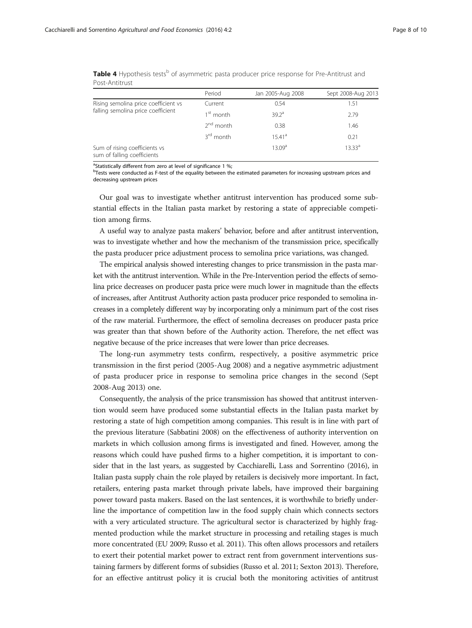|                                                              | Period                | Jan 2005-Aug 2008  | Sept 2008-Aug 2013 |
|--------------------------------------------------------------|-----------------------|--------------------|--------------------|
| Rising semolina price coefficient vs                         | Current               | 0.54               | 1.51               |
| falling semolina price coefficient                           | $1st$ month           | 39.2 <sup>a</sup>  | 2.79               |
|                                                              | 2 <sup>nd</sup> month | 0.38               | 1.46               |
|                                                              | 3 <sup>rd</sup> month | $15.41^{a}$        | 0.21               |
| Sum of rising coefficients vs<br>sum of falling coefficients |                       | 13.09 <sup>a</sup> | 13.33 <sup>a</sup> |

<span id="page-7-0"></span>Table 4 Hypothesis tests<sup>b</sup> of asymmetric pasta producer price response for Pre-Antitrust and Post-Antitrust

<sup>a</sup>Statistically different from zero at level of significance 1 %;

**bTests were conducted as F-test of the equality between the estimated parameters for increasing upstream prices and** decreasing upstream prices

Our goal was to investigate whether antitrust intervention has produced some substantial effects in the Italian pasta market by restoring a state of appreciable competition among firms.

A useful way to analyze pasta makers' behavior, before and after antitrust intervention, was to investigate whether and how the mechanism of the transmission price, specifically the pasta producer price adjustment process to semolina price variations, was changed.

The empirical analysis showed interesting changes to price transmission in the pasta market with the antitrust intervention. While in the Pre-Intervention period the effects of semolina price decreases on producer pasta price were much lower in magnitude than the effects of increases, after Antitrust Authority action pasta producer price responded to semolina increases in a completely different way by incorporating only a minimum part of the cost rises of the raw material. Furthermore, the effect of semolina decreases on producer pasta price was greater than that shown before of the Authority action. Therefore, the net effect was negative because of the price increases that were lower than price decreases.

The long-run asymmetry tests confirm, respectively, a positive asymmetric price transmission in the first period (2005-Aug 2008) and a negative asymmetric adjustment of pasta producer price in response to semolina price changes in the second (Sept 2008-Aug 2013) one.

Consequently, the analysis of the price transmission has showed that antitrust intervention would seem have produced some substantial effects in the Italian pasta market by restoring a state of high competition among companies. This result is in line with part of the previous literature (Sabbatini [2008\)](#page-9-0) on the effectiveness of authority intervention on markets in which collusion among firms is investigated and fined. However, among the reasons which could have pushed firms to a higher competition, it is important to consider that in the last years, as suggested by Cacchiarelli, Lass and Sorrentino ([2016\)](#page-8-0), in Italian pasta supply chain the role played by retailers is decisively more important. In fact, retailers, entering pasta market through private labels, have improved their bargaining power toward pasta makers. Based on the last sentences, it is worthwhile to briefly underline the importance of competition law in the food supply chain which connects sectors with a very articulated structure. The agricultural sector is characterized by highly fragmented production while the market structure in processing and retailing stages is much more concentrated (EU 2009; Russo et al. [2011](#page-9-0)). This often allows processors and retailers to exert their potential market power to extract rent from government interventions sustaining farmers by different forms of subsidies (Russo et al. [2011](#page-9-0); Sexton [2013](#page-9-0)). Therefore, for an effective antitrust policy it is crucial both the monitoring activities of antitrust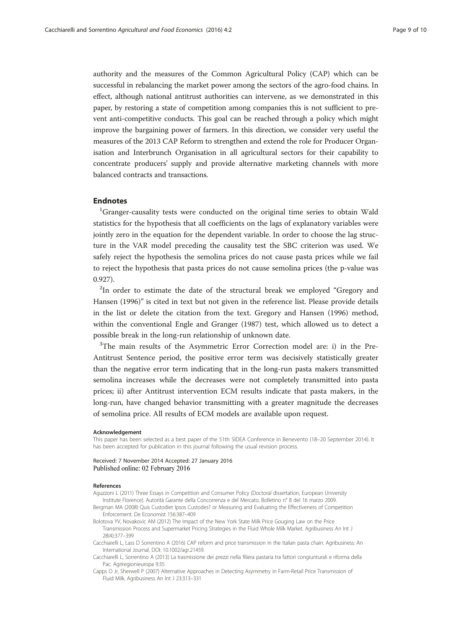<span id="page-8-0"></span>authority and the measures of the Common Agricultural Policy (CAP) which can be successful in rebalancing the market power among the sectors of the agro-food chains. In effect, although national antitrust authorities can intervene, as we demonstrated in this paper, by restoring a state of competition among companies this is not sufficient to prevent anti-competitive conducts. This goal can be reached through a policy which might improve the bargaining power of farmers. In this direction, we consider very useful the measures of the 2013 CAP Reform to strengthen and extend the role for Producer Organisation and Interbrunch Organisation in all agricultural sectors for their capability to concentrate producers' supply and provide alternative marketing channels with more balanced contracts and transactions.

#### Endnotes

<sup>1</sup>Granger-causality tests were conducted on the original time series to obtain Wald statistics for the hypothesis that all coefficients on the lags of explanatory variables were jointly zero in the equation for the dependent variable. In order to choose the lag structure in the VAR model preceding the causality test the SBC criterion was used. We safely reject the hypothesis the semolina prices do not cause pasta prices while we fail to reject the hypothesis that pasta prices do not cause semolina prices (the p-value was 0.927).

<sup>2</sup>In order to estimate the date of the structural break we employed "Gregory and Hansen ([1996\)](#page-9-0)" is cited in text but not given in the reference list. Please provide details in the list or delete the citation from the text. Gregory and Hansen ([1996\)](#page-9-0) method, within the conventional Engle and Granger ([1987](#page-9-0)) test, which allowed us to detect a possible break in the long-run relationship of unknown date.

<sup>3</sup>The main results of the Asymmetric Error Correction model are: i) in the Pre-Antitrust Sentence period, the positive error term was decisively statistically greater than the negative error term indicating that in the long-run pasta makers transmitted semolina increases while the decreases were not completely transmitted into pasta prices; ii) after Antitrust intervention ECM results indicate that pasta makers, in the long-run, have changed behavior transmitting with a greater magnitude the decreases of semolina price. All results of ECM models are available upon request.

#### Acknowledgement

This paper has been selected as a best paper of the 51th SIDEA Conference in Benevento (18–20 September 2014). It has been accepted for publication in this journal following the usual revision process.

Received: 7 November 2014 Accepted: 27 January 2016 Published online: 02 February 2016

#### References

Aguzzoni L (2011) Three Essays in Competition and Consumer Policy (Doctoral dissertation, European University Institute Florence). Autorità Garante della Concorrenza e del Mercato. Bolletino n° 8 del 16 marzo 2009. Bergman MA (2008) Quis Custodiet Ipsos Custodes? or Measuring and Evaluating the Effectiveness of Competition

Enforcement. De Economist 156:387–409 Bolotova YV, Novakovic AM (2012) The Impact of the New York State Milk Price Gouging Law on the Price

Transmission Process and Supermarket Pricing Strategies in the Fluid Whole Milk Market. Agribusiness An Int J 28(4):377–399

Cacchiarelli L, Lass D Sorrentino A (2016) CAP reform and price transmission in the Italian pasta chain. Agribusiness: An International Journal. DOI: [10.1002/agr.21459.](http://dx.doi.org/10.1002/agr.21459)

Cacchiarelli L, Sorrentino A (2013) La trasmissione dei prezzi nella filiera pastaria tra fattori congiunturali e riforma della Pac. Agriregionieuropa 9:35

Capps O Jr, Sherwell P (2007) Alternative Approaches in Detecting Asymmetry in Farm-Retail Price Transmission of Fluid Milk. Agribusiness An Int J 23:313–331